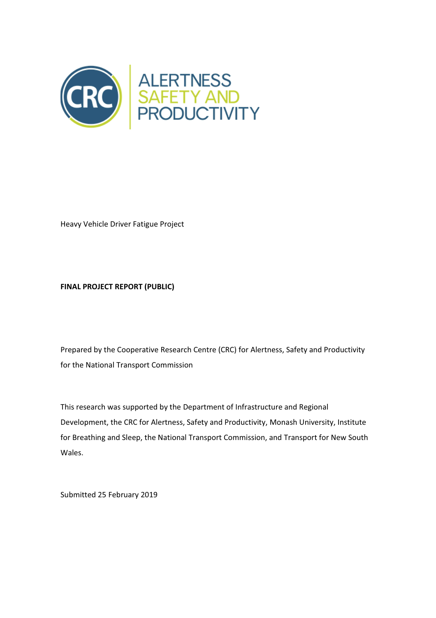

Heavy Vehicle Driver Fatigue Project

# **FINAL PROJECT REPORT (PUBLIC)**

Prepared by the Cooperative Research Centre (CRC) for Alertness, Safety and Productivity for the National Transport Commission

This research was supported by the Department of Infrastructure and Regional Development, the CRC for Alertness, Safety and Productivity, Monash University, Institute for Breathing and Sleep, the National Transport Commission, and Transport for New South Wales.

Submitted 25 February 2019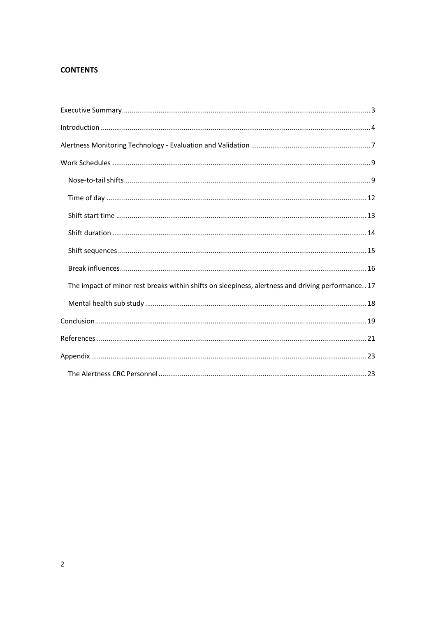# **CONTENTS**

| The impact of minor rest breaks within shifts on sleepiness, alertness and driving performance17 |
|--------------------------------------------------------------------------------------------------|
|                                                                                                  |
|                                                                                                  |
|                                                                                                  |
|                                                                                                  |
|                                                                                                  |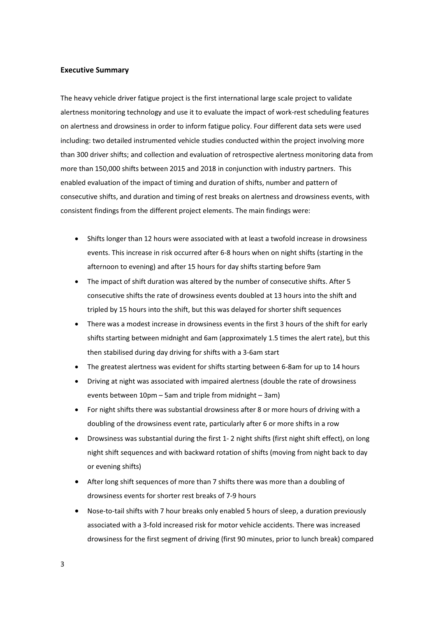#### **Executive Summary**

The heavy vehicle driver fatigue project is the first international large scale project to validate alertness monitoring technology and use it to evaluate the impact of work-rest scheduling features on alertness and drowsiness in order to inform fatigue policy. Four different data sets were used including: two detailed instrumented vehicle studies conducted within the project involving more than 300 driver shifts; and collection and evaluation of retrospective alertness monitoring data from more than 150,000 shifts between 2015 and 2018 in conjunction with industry partners. This enabled evaluation of the impact of timing and duration of shifts, number and pattern of consecutive shifts, and duration and timing of rest breaks on alertness and drowsiness events, with consistent findings from the different project elements. The main findings were:

- · Shifts longer than 12 hours were associated with at least a twofold increase in drowsiness events. This increase in risk occurred after 6-8 hours when on night shifts (starting in the afternoon to evening) and after 15 hours for day shifts starting before 9am
- The impact of shift duration was altered by the number of consecutive shifts. After 5 consecutive shifts the rate of drowsiness events doubled at 13 hours into the shift and tripled by 15 hours into the shift, but this was delayed for shorter shift sequences
- There was a modest increase in drowsiness events in the first 3 hours of the shift for early shifts starting between midnight and 6am (approximately 1.5 times the alert rate), but this then stabilised during day driving for shifts with a 3-6am start
- The greatest alertness was evident for shifts starting between 6-8am for up to 14 hours
- · Driving at night was associated with impaired alertness (double the rate of drowsiness events between 10pm – 5am and triple from midnight – 3am)
- For night shifts there was substantial drowsiness after 8 or more hours of driving with a doubling of the drowsiness event rate, particularly after 6 or more shifts in a row
- · Drowsiness was substantial during the first 1- 2 night shifts (first night shift effect), on long night shift sequences and with backward rotation of shifts (moving from night back to day or evening shifts)
- · After long shift sequences of more than 7 shifts there was more than a doubling of drowsiness events for shorter rest breaks of 7-9 hours
- · Nose-to-tail shifts with 7 hour breaks only enabled 5 hours of sleep, a duration previously associated with a 3-fold increased risk for motor vehicle accidents. There was increased drowsiness for the first segment of driving (first 90 minutes, prior to lunch break) compared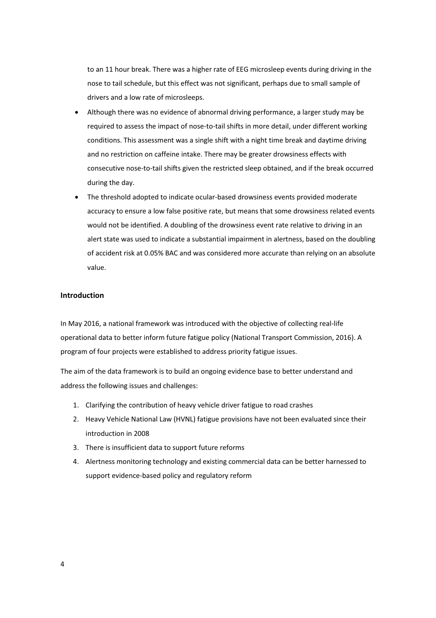to an 11 hour break. There was a higher rate of EEG microsleep events during driving in the nose to tail schedule, but this effect was not significant, perhaps due to small sample of drivers and a low rate of microsleeps.

- Although there was no evidence of abnormal driving performance, a larger study may be required to assess the impact of nose-to-tail shifts in more detail, under different working conditions. This assessment was a single shift with a night time break and daytime driving and no restriction on caffeine intake. There may be greater drowsiness effects with consecutive nose-to-tail shifts given the restricted sleep obtained, and if the break occurred during the day.
- · The threshold adopted to indicate ocular-based drowsiness events provided moderate accuracy to ensure a low false positive rate, but means that some drowsiness related events would not be identified. A doubling of the drowsiness event rate relative to driving in an alert state was used to indicate a substantial impairment in alertness, based on the doubling of accident risk at 0.05% BAC and was considered more accurate than relying on an absolute value.

# **Introduction**

In May 2016, a national framework was introduced with the objective of collecting real-life operational data to better inform future fatigue policy (National Transport Commission, 2016). A program of four projects were established to address priority fatigue issues.

The aim of the data framework is to build an ongoing evidence base to better understand and address the following issues and challenges:

- 1. Clarifying the contribution of heavy vehicle driver fatigue to road crashes
- 2. Heavy Vehicle National Law (HVNL) fatigue provisions have not been evaluated since their introduction in 2008
- 3. There is insufficient data to support future reforms
- 4. Alertness monitoring technology and existing commercial data can be better harnessed to support evidence-based policy and regulatory reform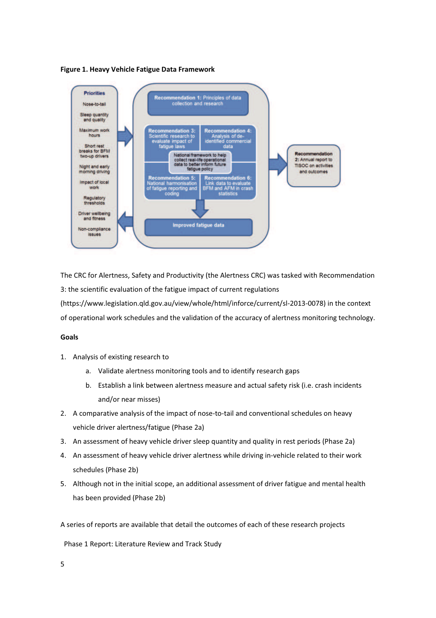



The CRC for Alertness, Safety and Productivity (the Alertness CRC) was tasked with Recommendation 3: the scientific evaluation of the fatigue impact of current regulations (https://www.legislation.qld.gov.au/view/whole/html/inforce/current/sl-2013-0078) in the context of operational work schedules and the validation of the accuracy of alertness monitoring technology.

#### **Goals**

- 1. Analysis of existing research to
	- a. Validate alertness monitoring tools and to identify research gaps
	- b. Establish a link between alertness measure and actual safety risk (i.e. crash incidents and/or near misses)
- 2. A comparative analysis of the impact of nose-to-tail and conventional schedules on heavy vehicle driver alertness/fatigue (Phase 2a)
- 3. An assessment of heavy vehicle driver sleep quantity and quality in rest periods (Phase 2a)
- 4. An assessment of heavy vehicle driver alertness while driving in-vehicle related to their work schedules (Phase 2b)
- 5. Although not in the initial scope, an additional assessment of driver fatigue and mental health has been provided (Phase 2b)

A series of reports are available that detail the outcomes of each of these research projects

Phase 1 Report: Literature Review and Track Study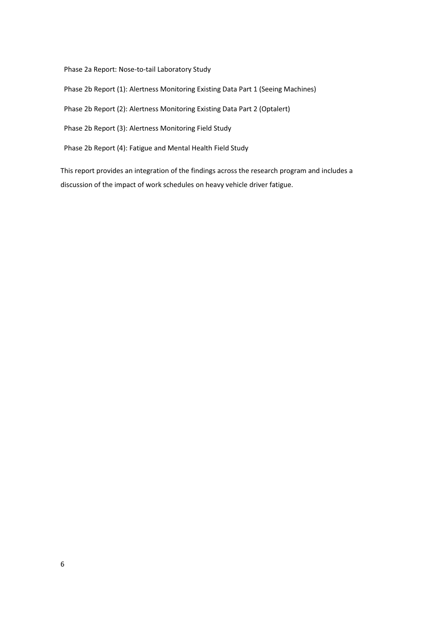Phase 2a Report: Nose-to-tail Laboratory Study

Phase 2b Report (1): Alertness Monitoring Existing Data Part 1 (Seeing Machines)

Phase 2b Report (2): Alertness Monitoring Existing Data Part 2 (Optalert)

Phase 2b Report (3): Alertness Monitoring Field Study

Phase 2b Report (4): Fatigue and Mental Health Field Study

This report provides an integration of the findings across the research program and includes a discussion of the impact of work schedules on heavy vehicle driver fatigue.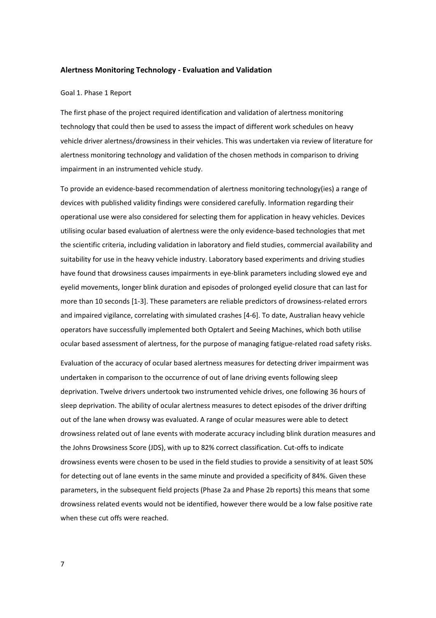#### **Alertness Monitoring Technology - Evaluation and Validation**

#### Goal 1. Phase 1 Report

The first phase of the project required identification and validation of alertness monitoring technology that could then be used to assess the impact of different work schedules on heavy vehicle driver alertness/drowsiness in their vehicles. This was undertaken via review of literature for alertness monitoring technology and validation of the chosen methods in comparison to driving impairment in an instrumented vehicle study.

To provide an evidence-based recommendation of alertness monitoring technology(ies) a range of devices with published validity findings were considered carefully. Information regarding their operational use were also considered for selecting them for application in heavy vehicles. Devices utilising ocular based evaluation of alertness were the only evidence-based technologies that met the scientific criteria, including validation in laboratory and field studies, commercial availability and suitability for use in the heavy vehicle industry. Laboratory based experiments and driving studies have found that drowsiness causes impairments in eye-blink parameters including slowed eye and eyelid movements, longer blink duration and episodes of prolonged eyelid closure that can last for more than 10 seconds [1-3]. These parameters are reliable predictors of drowsiness-related errors and impaired vigilance, correlating with simulated crashes [4-6]. To date, Australian heavy vehicle operators have successfully implemented both Optalert and Seeing Machines, which both utilise ocular based assessment of alertness, for the purpose of managing fatigue-related road safety risks.

Evaluation of the accuracy of ocular based alertness measures for detecting driver impairment was undertaken in comparison to the occurrence of out of lane driving events following sleep deprivation. Twelve drivers undertook two instrumented vehicle drives, one following 36 hours of sleep deprivation. The ability of ocular alertness measures to detect episodes of the driver drifting out of the lane when drowsy was evaluated. A range of ocular measures were able to detect drowsiness related out of lane events with moderate accuracy including blink duration measures and the Johns Drowsiness Score (JDS), with up to 82% correct classification. Cut-offs to indicate drowsiness events were chosen to be used in the field studies to provide a sensitivity of at least 50% for detecting out of lane events in the same minute and provided a specificity of 84%. Given these parameters, in the subsequent field projects (Phase 2a and Phase 2b reports) this means that some drowsiness related events would not be identified, however there would be a low false positive rate when these cut offs were reached.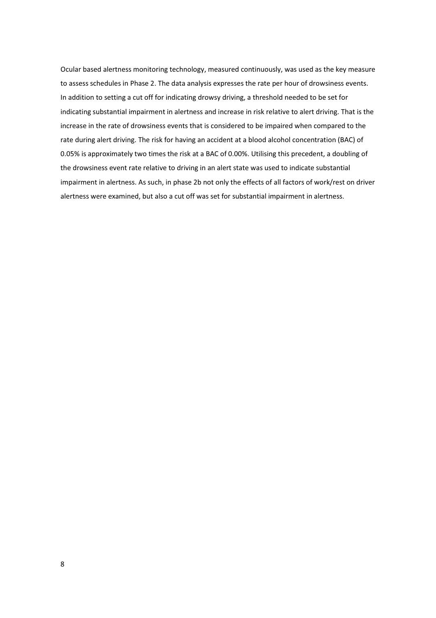Ocular based alertness monitoring technology, measured continuously, was used as the key measure to assess schedules in Phase 2. The data analysis expresses the rate per hour of drowsiness events. In addition to setting a cut off for indicating drowsy driving, a threshold needed to be set for indicating substantial impairment in alertness and increase in risk relative to alert driving. That is the increase in the rate of drowsiness events that is considered to be impaired when compared to the rate during alert driving. The risk for having an accident at a blood alcohol concentration (BAC) of 0.05% is approximately two times the risk at a BAC of 0.00%. Utilising this precedent, a doubling of the drowsiness event rate relative to driving in an alert state was used to indicate substantial impairment in alertness. As such, in phase 2b not only the effects of all factors of work/rest on driver alertness were examined, but also a cut off was set for substantial impairment in alertness.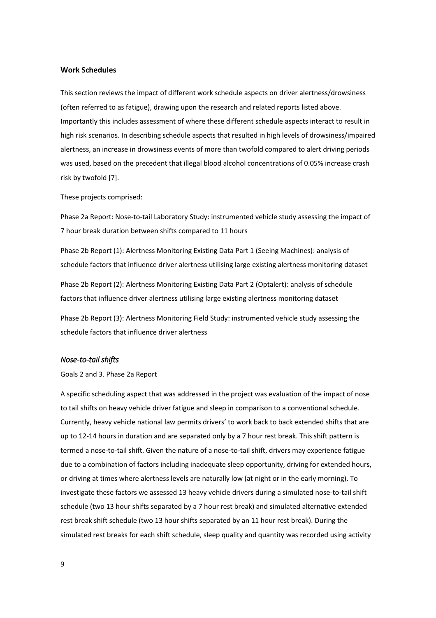#### **Work Schedules**

This section reviews the impact of different work schedule aspects on driver alertness/drowsiness (often referred to as fatigue), drawing upon the research and related reports listed above. Importantly this includes assessment of where these different schedule aspects interact to result in high risk scenarios. In describing schedule aspects that resulted in high levels of drowsiness/impaired alertness, an increase in drowsiness events of more than twofold compared to alert driving periods was used, based on the precedent that illegal blood alcohol concentrations of 0.05% increase crash risk by twofold [7].

These projects comprised:

Phase 2a Report: Nose-to-tail Laboratory Study: instrumented vehicle study assessing the impact of 7 hour break duration between shifts compared to 11 hours

Phase 2b Report (1): Alertness Monitoring Existing Data Part 1 (Seeing Machines): analysis of schedule factors that influence driver alertness utilising large existing alertness monitoring dataset

Phase 2b Report (2): Alertness Monitoring Existing Data Part 2 (Optalert): analysis of schedule factors that influence driver alertness utilising large existing alertness monitoring dataset

Phase 2b Report (3): Alertness Monitoring Field Study: instrumented vehicle study assessing the schedule factors that influence driver alertness

# *Nose-to-tail shifts*

Goals 2 and 3. Phase 2a Report

A specific scheduling aspect that was addressed in the project was evaluation of the impact of nose to tail shifts on heavy vehicle driver fatigue and sleep in comparison to a conventional schedule. Currently, heavy vehicle national law permits drivers' to work back to back extended shifts that are up to 12-14 hours in duration and are separated only by a 7 hour rest break. This shift pattern is termed a nose-to-tail shift. Given the nature of a nose-to-tail shift, drivers may experience fatigue due to a combination of factors including inadequate sleep opportunity, driving for extended hours, or driving at times where alertness levels are naturally low (at night or in the early morning). To investigate these factors we assessed 13 heavy vehicle drivers during a simulated nose-to-tail shift schedule (two 13 hour shifts separated by a 7 hour rest break) and simulated alternative extended rest break shift schedule (two 13 hour shifts separated by an 11 hour rest break). During the simulated rest breaks for each shift schedule, sleep quality and quantity was recorded using activity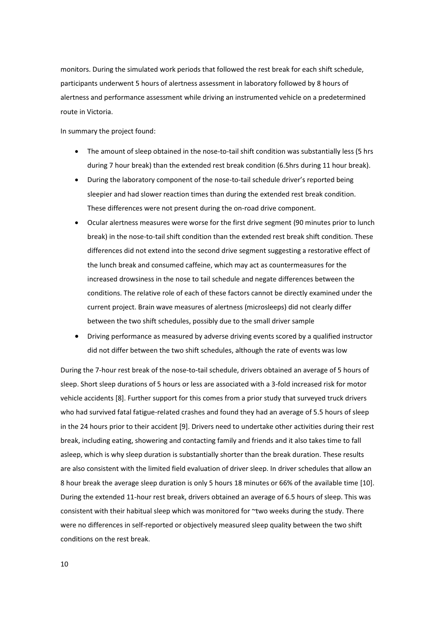monitors. During the simulated work periods that followed the rest break for each shift schedule, participants underwent 5 hours of alertness assessment in laboratory followed by 8 hours of alertness and performance assessment while driving an instrumented vehicle on a predetermined route in Victoria.

In summary the project found:

- · The amount of sleep obtained in the nose-to-tail shift condition was substantially less (5 hrs during 7 hour break) than the extended rest break condition (6.5hrs during 11 hour break).
- During the laboratory component of the nose-to-tail schedule driver's reported being sleepier and had slower reaction times than during the extended rest break condition. These differences were not present during the on-road drive component.
- · Ocular alertness measures were worse for the first drive segment (90 minutes prior to lunch break) in the nose-to-tail shift condition than the extended rest break shift condition. These differences did not extend into the second drive segment suggesting a restorative effect of the lunch break and consumed caffeine, which may act as countermeasures for the increased drowsiness in the nose to tail schedule and negate differences between the conditions. The relative role of each of these factors cannot be directly examined under the current project. Brain wave measures of alertness (microsleeps) did not clearly differ between the two shift schedules, possibly due to the small driver sample
- · Driving performance as measured by adverse driving events scored by a qualified instructor did not differ between the two shift schedules, although the rate of events was low

During the 7-hour rest break of the nose-to-tail schedule, drivers obtained an average of 5 hours of sleep. Short sleep durations of 5 hours or less are associated with a 3-fold increased risk for motor vehicle accidents [8]. Further support for this comes from a prior study that surveyed truck drivers who had survived fatal fatigue-related crashes and found they had an average of 5.5 hours of sleep in the 24 hours prior to their accident [9]. Drivers need to undertake other activities during their rest break, including eating, showering and contacting family and friends and it also takes time to fall asleep, which is why sleep duration is substantially shorter than the break duration. These results are also consistent with the limited field evaluation of driver sleep. In driver schedules that allow an 8 hour break the average sleep duration is only 5 hours 18 minutes or 66% of the available time [10]. During the extended 11-hour rest break, drivers obtained an average of 6.5 hours of sleep. This was consistent with their habitual sleep which was monitored for ~two weeks during the study. There were no differences in self-reported or objectively measured sleep quality between the two shift conditions on the rest break.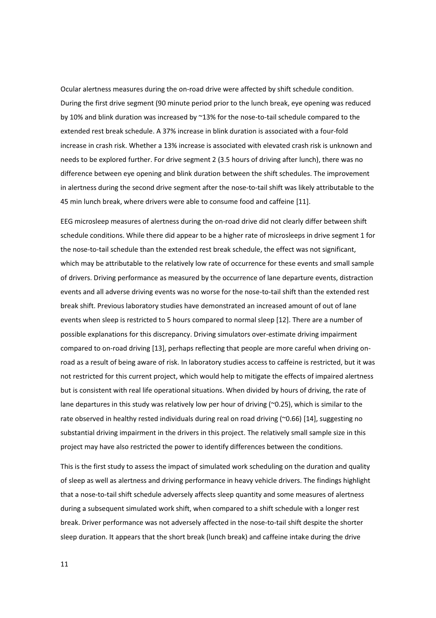Ocular alertness measures during the on-road drive were affected by shift schedule condition. During the first drive segment (90 minute period prior to the lunch break, eye opening was reduced by 10% and blink duration was increased by  $^{\sim}$ 13% for the nose-to-tail schedule compared to the extended rest break schedule. A 37% increase in blink duration is associated with a four-fold increase in crash risk. Whether a 13% increase is associated with elevated crash risk is unknown and needs to be explored further. For drive segment 2 (3.5 hours of driving after lunch), there was no difference between eye opening and blink duration between the shift schedules. The improvement in alertness during the second drive segment after the nose-to-tail shift was likely attributable to the 45 min lunch break, where drivers were able to consume food and caffeine [11].

EEG microsleep measures of alertness during the on-road drive did not clearly differ between shift schedule conditions. While there did appear to be a higher rate of microsleeps in drive segment 1 for the nose-to-tail schedule than the extended rest break schedule, the effect was not significant, which may be attributable to the relatively low rate of occurrence for these events and small sample of drivers. Driving performance as measured by the occurrence of lane departure events, distraction events and all adverse driving events was no worse for the nose-to-tail shift than the extended rest break shift. Previous laboratory studies have demonstrated an increased amount of out of lane events when sleep is restricted to 5 hours compared to normal sleep [12]. There are a number of possible explanations for this discrepancy. Driving simulators over-estimate driving impairment compared to on-road driving [13], perhaps reflecting that people are more careful when driving onroad as a result of being aware of risk. In laboratory studies access to caffeine is restricted, but it was not restricted for this current project, which would help to mitigate the effects of impaired alertness but is consistent with real life operational situations. When divided by hours of driving, the rate of lane departures in this study was relatively low per hour of driving (~0.25), which is similar to the rate observed in healthy rested individuals during real on road driving (~0.66) [14], suggesting no substantial driving impairment in the drivers in this project. The relatively small sample size in this project may have also restricted the power to identify differences between the conditions.

This is the first study to assess the impact of simulated work scheduling on the duration and quality of sleep as well as alertness and driving performance in heavy vehicle drivers. The findings highlight that a nose-to-tail shift schedule adversely affects sleep quantity and some measures of alertness during a subsequent simulated work shift, when compared to a shift schedule with a longer rest break. Driver performance was not adversely affected in the nose-to-tail shift despite the shorter sleep duration. It appears that the short break (lunch break) and caffeine intake during the drive

11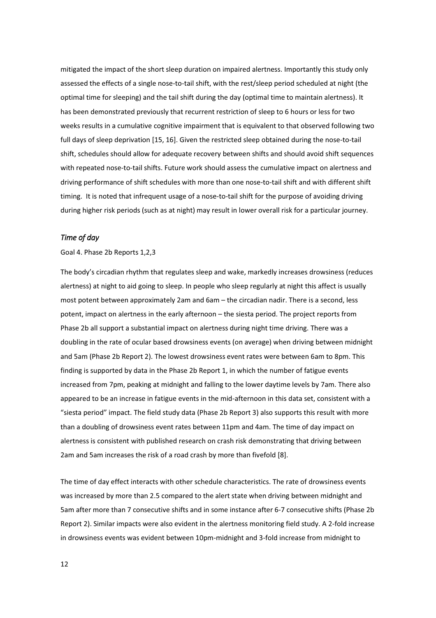mitigated the impact of the short sleep duration on impaired alertness. Importantly this study only assessed the effects of a single nose-to-tail shift, with the rest/sleep period scheduled at night (the optimal time for sleeping) and the tail shift during the day (optimal time to maintain alertness). It has been demonstrated previously that recurrent restriction of sleep to 6 hours or less for two weeks results in a cumulative cognitive impairment that is equivalent to that observed following two full days of sleep deprivation [15, 16]. Given the restricted sleep obtained during the nose-to-tail shift, schedules should allow for adequate recovery between shifts and should avoid shift sequences with repeated nose-to-tail shifts. Future work should assess the cumulative impact on alertness and driving performance of shift schedules with more than one nose-to-tail shift and with different shift timing. It is noted that infrequent usage of a nose-to-tail shift for the purpose of avoiding driving during higher risk periods (such as at night) may result in lower overall risk for a particular journey.

# *Time of day*

#### Goal 4. Phase 2b Reports 1,2,3

The body's circadian rhythm that regulates sleep and wake, markedly increases drowsiness (reduces alertness) at night to aid going to sleep. In people who sleep regularly at night this affect is usually most potent between approximately 2am and 6am – the circadian nadir. There is a second, less potent, impact on alertness in the early afternoon – the siesta period. The project reports from Phase 2b all support a substantial impact on alertness during night time driving. There was a doubling in the rate of ocular based drowsiness events (on average) when driving between midnight and 5am (Phase 2b Report 2). The lowest drowsiness event rates were between 6am to 8pm. This finding is supported by data in the Phase 2b Report 1, in which the number of fatigue events increased from 7pm, peaking at midnight and falling to the lower daytime levels by 7am. There also appeared to be an increase in fatigue events in the mid-afternoon in this data set, consistent with a "siesta period" impact. The field study data (Phase 2b Report 3) also supports this result with more than a doubling of drowsiness event rates between 11pm and 4am. The time of day impact on alertness is consistent with published research on crash risk demonstrating that driving between 2am and 5am increases the risk of a road crash by more than fivefold [8].

The time of day effect interacts with other schedule characteristics. The rate of drowsiness events was increased by more than 2.5 compared to the alert state when driving between midnight and 5am after more than 7 consecutive shifts and in some instance after 6-7 consecutive shifts (Phase 2b Report 2). Similar impacts were also evident in the alertness monitoring field study. A 2-fold increase in drowsiness events was evident between 10pm-midnight and 3-fold increase from midnight to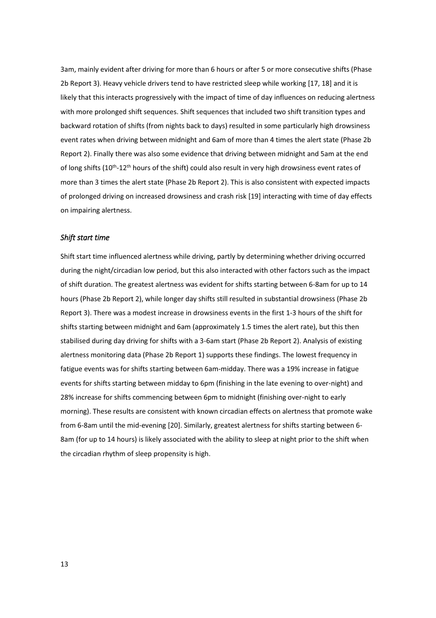3am, mainly evident after driving for more than 6 hours or after 5 or more consecutive shifts (Phase 2b Report 3). Heavy vehicle drivers tend to have restricted sleep while working [17, 18] and it is likely that this interacts progressively with the impact of time of day influences on reducing alertness with more prolonged shift sequences. Shift sequences that included two shift transition types and backward rotation of shifts (from nights back to days) resulted in some particularly high drowsiness event rates when driving between midnight and 6am of more than 4 times the alert state (Phase 2b Report 2). Finally there was also some evidence that driving between midnight and 5am at the end of long shifts (10<sup>th</sup>-12<sup>th</sup> hours of the shift) could also result in very high drowsiness event rates of more than 3 times the alert state (Phase 2b Report 2). This is also consistent with expected impacts of prolonged driving on increased drowsiness and crash risk [19] interacting with time of day effects on impairing alertness.

### *Shift start time*

Shift start time influenced alertness while driving, partly by determining whether driving occurred during the night/circadian low period, but this also interacted with other factors such as the impact of shift duration. The greatest alertness was evident for shifts starting between 6-8am for up to 14 hours (Phase 2b Report 2), while longer day shifts still resulted in substantial drowsiness (Phase 2b Report 3). There was a modest increase in drowsiness events in the first 1-3 hours of the shift for shifts starting between midnight and 6am (approximately 1.5 times the alert rate), but this then stabilised during day driving for shifts with a 3-6am start (Phase 2b Report 2). Analysis of existing alertness monitoring data (Phase 2b Report 1) supports these findings. The lowest frequency in fatigue events was for shifts starting between 6am-midday. There was a 19% increase in fatigue events for shifts starting between midday to 6pm (finishing in the late evening to over-night) and 28% increase for shifts commencing between 6pm to midnight (finishing over-night to early morning). These results are consistent with known circadian effects on alertness that promote wake from 6-8am until the mid-evening [20]. Similarly, greatest alertness for shifts starting between 6- 8am (for up to 14 hours) is likely associated with the ability to sleep at night prior to the shift when the circadian rhythm of sleep propensity is high.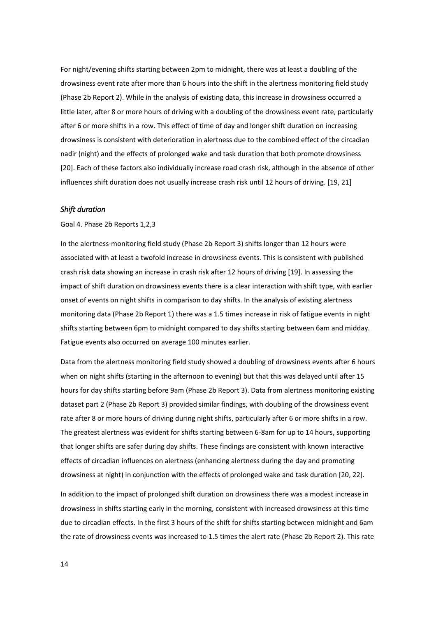For night/evening shifts starting between 2pm to midnight, there was at least a doubling of the drowsiness event rate after more than 6 hours into the shift in the alertness monitoring field study (Phase 2b Report 2). While in the analysis of existing data, this increase in drowsiness occurred a little later, after 8 or more hours of driving with a doubling of the drowsiness event rate, particularly after 6 or more shifts in a row. This effect of time of day and longer shift duration on increasing drowsiness is consistent with deterioration in alertness due to the combined effect of the circadian nadir (night) and the effects of prolonged wake and task duration that both promote drowsiness [20]. Each of these factors also individually increase road crash risk, although in the absence of other influences shift duration does not usually increase crash risk until 12 hours of driving. [19, 21]

#### *Shift duration*

#### Goal 4. Phase 2b Reports 1,2,3

In the alertness-monitoring field study (Phase 2b Report 3) shifts longer than 12 hours were associated with at least a twofold increase in drowsiness events. This is consistent with published crash risk data showing an increase in crash risk after 12 hours of driving [19]. In assessing the impact of shift duration on drowsiness events there is a clear interaction with shift type, with earlier onset of events on night shifts in comparison to day shifts. In the analysis of existing alertness monitoring data (Phase 2b Report 1) there was a 1.5 times increase in risk of fatigue events in night shifts starting between 6pm to midnight compared to day shifts starting between 6am and midday. Fatigue events also occurred on average 100 minutes earlier.

Data from the alertness monitoring field study showed a doubling of drowsiness events after 6 hours when on night shifts (starting in the afternoon to evening) but that this was delayed until after 15 hours for day shifts starting before 9am (Phase 2b Report 3). Data from alertness monitoring existing dataset part 2 (Phase 2b Report 3) provided similar findings, with doubling of the drowsiness event rate after 8 or more hours of driving during night shifts, particularly after 6 or more shifts in a row. The greatest alertness was evident for shifts starting between 6-8am for up to 14 hours, supporting that longer shifts are safer during day shifts. These findings are consistent with known interactive effects of circadian influences on alertness (enhancing alertness during the day and promoting drowsiness at night) in conjunction with the effects of prolonged wake and task duration [20, 22].

In addition to the impact of prolonged shift duration on drowsiness there was a modest increase in drowsiness in shifts starting early in the morning, consistent with increased drowsiness at this time due to circadian effects. In the first 3 hours of the shift for shifts starting between midnight and 6am the rate of drowsiness events was increased to 1.5 times the alert rate (Phase 2b Report 2). This rate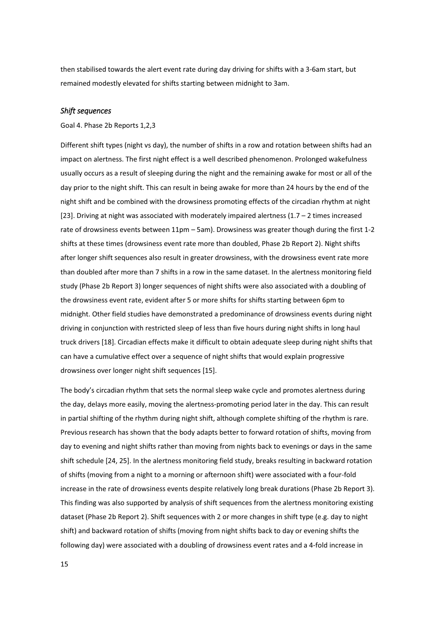then stabilised towards the alert event rate during day driving for shifts with a 3-6am start, but remained modestly elevated for shifts starting between midnight to 3am.

### *Shift sequences*

#### Goal 4. Phase 2b Reports 1,2,3

Different shift types (night vs day), the number of shifts in a row and rotation between shifts had an impact on alertness. The first night effect is a well described phenomenon. Prolonged wakefulness usually occurs as a result of sleeping during the night and the remaining awake for most or all of the day prior to the night shift. This can result in being awake for more than 24 hours by the end of the night shift and be combined with the drowsiness promoting effects of the circadian rhythm at night [23]. Driving at night was associated with moderately impaired alertness (1.7 – 2 times increased rate of drowsiness events between 11pm – 5am). Drowsiness was greater though during the first 1-2 shifts at these times (drowsiness event rate more than doubled, Phase 2b Report 2). Night shifts after longer shift sequences also result in greater drowsiness, with the drowsiness event rate more than doubled after more than 7 shifts in a row in the same dataset. In the alertness monitoring field study (Phase 2b Report 3) longer sequences of night shifts were also associated with a doubling of the drowsiness event rate, evident after 5 or more shifts for shifts starting between 6pm to midnight. Other field studies have demonstrated a predominance of drowsiness events during night driving in conjunction with restricted sleep of less than five hours during night shifts in long haul truck drivers [18]. Circadian effects make it difficult to obtain adequate sleep during night shifts that can have a cumulative effect over a sequence of night shifts that would explain progressive drowsiness over longer night shift sequences [15].

The body's circadian rhythm that sets the normal sleep wake cycle and promotes alertness during the day, delays more easily, moving the alertness-promoting period later in the day. This can result in partial shifting of the rhythm during night shift, although complete shifting of the rhythm is rare. Previous research has shown that the body adapts better to forward rotation of shifts, moving from day to evening and night shifts rather than moving from nights back to evenings or days in the same shift schedule [24, 25]. In the alertness monitoring field study, breaks resulting in backward rotation of shifts (moving from a night to a morning or afternoon shift) were associated with a four-fold increase in the rate of drowsiness events despite relatively long break durations (Phase 2b Report 3). This finding was also supported by analysis of shift sequences from the alertness monitoring existing dataset (Phase 2b Report 2). Shift sequences with 2 or more changes in shift type (e.g. day to night shift) and backward rotation of shifts (moving from night shifts back to day or evening shifts the following day) were associated with a doubling of drowsiness event rates and a 4-fold increase in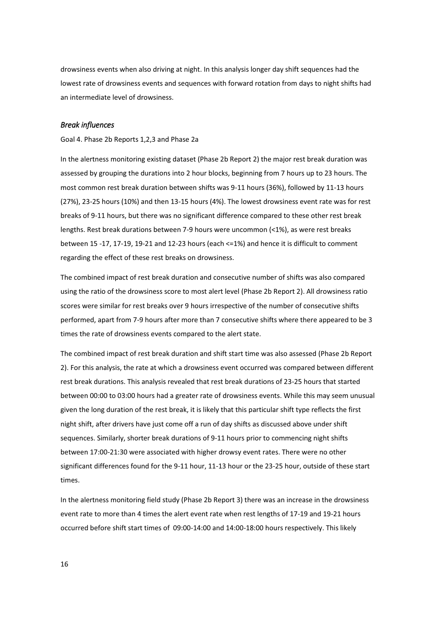drowsiness events when also driving at night. In this analysis longer day shift sequences had the lowest rate of drowsiness events and sequences with forward rotation from days to night shifts had an intermediate level of drowsiness.

# *Break influences*

Goal 4. Phase 2b Reports 1,2,3 and Phase 2a

In the alertness monitoring existing dataset (Phase 2b Report 2) the major rest break duration was assessed by grouping the durations into 2 hour blocks, beginning from 7 hours up to 23 hours. The most common rest break duration between shifts was 9-11 hours (36%), followed by 11-13 hours (27%), 23-25 hours (10%) and then 13-15 hours (4%). The lowest drowsiness event rate was for rest breaks of 9-11 hours, but there was no significant difference compared to these other rest break lengths. Rest break durations between 7-9 hours were uncommon (<1%), as were rest breaks between 15 -17, 17-19, 19-21 and 12-23 hours (each <=1%) and hence it is difficult to comment regarding the effect of these rest breaks on drowsiness.

The combined impact of rest break duration and consecutive number of shifts was also compared using the ratio of the drowsiness score to most alert level (Phase 2b Report 2). All drowsiness ratio scores were similar for rest breaks over 9 hours irrespective of the number of consecutive shifts performed, apart from 7-9 hours after more than 7 consecutive shifts where there appeared to be 3 times the rate of drowsiness events compared to the alert state.

The combined impact of rest break duration and shift start time was also assessed (Phase 2b Report 2). For this analysis, the rate at which a drowsiness event occurred was compared between different rest break durations. This analysis revealed that rest break durations of 23-25 hours that started between 00:00 to 03:00 hours had a greater rate of drowsiness events. While this may seem unusual given the long duration of the rest break, it is likely that this particular shift type reflects the first night shift, after drivers have just come off a run of day shifts as discussed above under shift sequences. Similarly, shorter break durations of 9-11 hours prior to commencing night shifts between 17:00-21:30 were associated with higher drowsy event rates. There were no other significant differences found for the 9-11 hour, 11-13 hour or the 23-25 hour, outside of these start times.

In the alertness monitoring field study (Phase 2b Report 3) there was an increase in the drowsiness event rate to more than 4 times the alert event rate when rest lengths of 17-19 and 19-21 hours occurred before shift start times of 09:00-14:00 and 14:00-18:00 hours respectively. This likely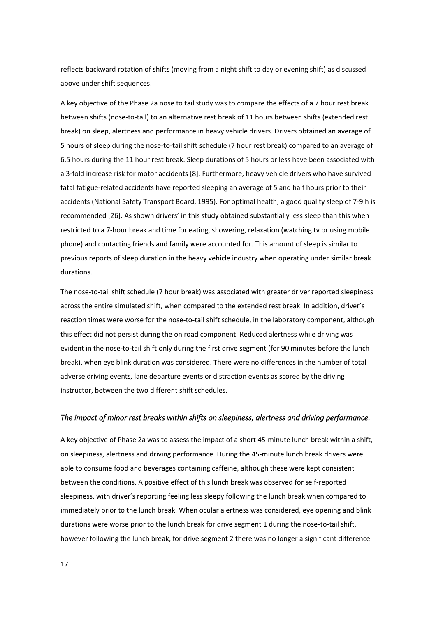reflects backward rotation of shifts (moving from a night shift to day or evening shift) as discussed above under shift sequences.

A key objective of the Phase 2a nose to tail study was to compare the effects of a 7 hour rest break between shifts (nose-to-tail) to an alternative rest break of 11 hours between shifts (extended rest break) on sleep, alertness and performance in heavy vehicle drivers. Drivers obtained an average of 5 hours of sleep during the nose-to-tail shift schedule (7 hour rest break) compared to an average of 6.5 hours during the 11 hour rest break. Sleep durations of 5 hours or less have been associated with a 3-fold increase risk for motor accidents [8]. Furthermore, heavy vehicle drivers who have survived fatal fatigue-related accidents have reported sleeping an average of 5 and half hours prior to their accidents (National Safety Transport Board, 1995). For optimal health, a good quality sleep of 7-9 h is recommended [26]. As shown drivers' in this study obtained substantially less sleep than this when restricted to a 7-hour break and time for eating, showering, relaxation (watching tv or using mobile phone) and contacting friends and family were accounted for. This amount of sleep is similar to previous reports of sleep duration in the heavy vehicle industry when operating under similar break durations.

The nose-to-tail shift schedule (7 hour break) was associated with greater driver reported sleepiness across the entire simulated shift, when compared to the extended rest break. In addition, driver's reaction times were worse for the nose-to-tail shift schedule, in the laboratory component, although this effect did not persist during the on road component. Reduced alertness while driving was evident in the nose-to-tail shift only during the first drive segment (for 90 minutes before the lunch break), when eye blink duration was considered. There were no differences in the number of total adverse driving events, lane departure events or distraction events as scored by the driving instructor, between the two different shift schedules.

### *The impact of minor rest breaks within shifts on sleepiness, alertness and driving performance.*

A key objective of Phase 2a was to assess the impact of a short 45-minute lunch break within a shift, on sleepiness, alertness and driving performance. During the 45-minute lunch break drivers were able to consume food and beverages containing caffeine, although these were kept consistent between the conditions. A positive effect of this lunch break was observed for self-reported sleepiness, with driver's reporting feeling less sleepy following the lunch break when compared to immediately prior to the lunch break. When ocular alertness was considered, eye opening and blink durations were worse prior to the lunch break for drive segment 1 during the nose-to-tail shift, however following the lunch break, for drive segment 2 there was no longer a significant difference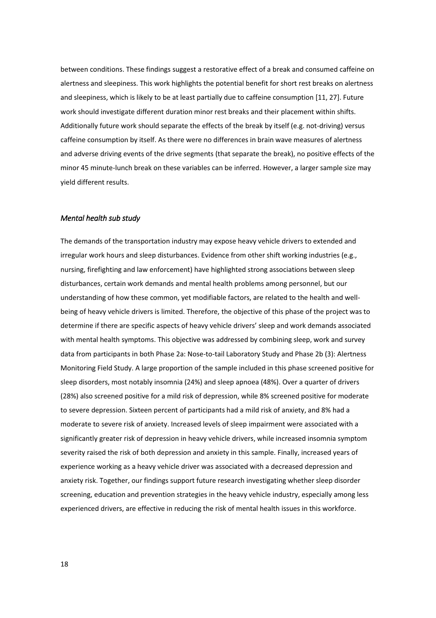between conditions. These findings suggest a restorative effect of a break and consumed caffeine on alertness and sleepiness. This work highlights the potential benefit for short rest breaks on alertness and sleepiness, which is likely to be at least partially due to caffeine consumption [11, 27]. Future work should investigate different duration minor rest breaks and their placement within shifts. Additionally future work should separate the effects of the break by itself (e.g. not-driving) versus caffeine consumption by itself. As there were no differences in brain wave measures of alertness and adverse driving events of the drive segments (that separate the break), no positive effects of the minor 45 minute-lunch break on these variables can be inferred. However, a larger sample size may yield different results.

### *Mental health sub study*

The demands of the transportation industry may expose heavy vehicle drivers to extended and irregular work hours and sleep disturbances. Evidence from other shift working industries (e.g., nursing, firefighting and law enforcement) have highlighted strong associations between sleep disturbances, certain work demands and mental health problems among personnel, but our understanding of how these common, yet modifiable factors, are related to the health and wellbeing of heavy vehicle drivers is limited. Therefore, the objective of this phase of the project was to determine if there are specific aspects of heavy vehicle drivers' sleep and work demands associated with mental health symptoms. This objective was addressed by combining sleep, work and survey data from participants in both Phase 2a: Nose-to-tail Laboratory Study and Phase 2b (3): Alertness Monitoring Field Study. A large proportion of the sample included in this phase screened positive for sleep disorders, most notably insomnia (24%) and sleep apnoea (48%). Over a quarter of drivers (28%) also screened positive for a mild risk of depression, while 8% screened positive for moderate to severe depression. Sixteen percent of participants had a mild risk of anxiety, and 8% had a moderate to severe risk of anxiety. Increased levels of sleep impairment were associated with a significantly greater risk of depression in heavy vehicle drivers, while increased insomnia symptom severity raised the risk of both depression and anxiety in this sample. Finally, increased years of experience working as a heavy vehicle driver was associated with a decreased depression and anxiety risk. Together, our findings support future research investigating whether sleep disorder screening, education and prevention strategies in the heavy vehicle industry, especially among less experienced drivers, are effective in reducing the risk of mental health issues in this workforce.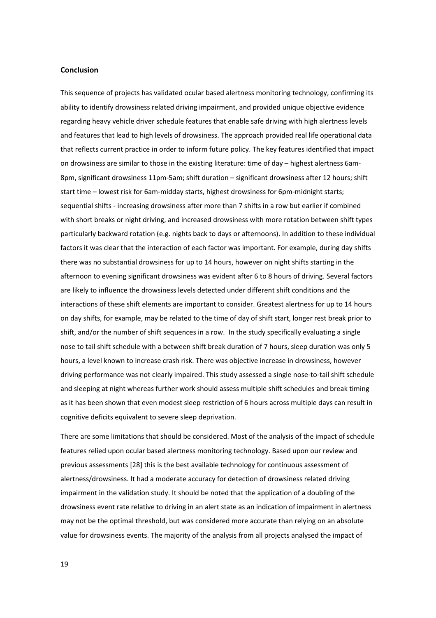### **Conclusion**

This sequence of projects has validated ocular based alertness monitoring technology, confirming its ability to identify drowsiness related driving impairment, and provided unique objective evidence regarding heavy vehicle driver schedule features that enable safe driving with high alertness levels and features that lead to high levels of drowsiness. The approach provided real life operational data that reflects current practice in order to inform future policy. The key features identified that impact on drowsiness are similar to those in the existing literature: time of day – highest alertness 6am-8pm, significant drowsiness 11pm-5am; shift duration – significant drowsiness after 12 hours; shift start time – lowest risk for 6am-midday starts, highest drowsiness for 6pm-midnight starts; sequential shifts - increasing drowsiness after more than 7 shifts in a row but earlier if combined with short breaks or night driving, and increased drowsiness with more rotation between shift types particularly backward rotation (e.g. nights back to days or afternoons). In addition to these individual factors it was clear that the interaction of each factor was important. For example, during day shifts there was no substantial drowsiness for up to 14 hours, however on night shifts starting in the afternoon to evening significant drowsiness was evident after 6 to 8 hours of driving. Several factors are likely to influence the drowsiness levels detected under different shift conditions and the interactions of these shift elements are important to consider. Greatest alertness for up to 14 hours on day shifts, for example, may be related to the time of day of shift start, longer rest break prior to shift, and/or the number of shift sequences in a row. In the study specifically evaluating a single nose to tail shift schedule with a between shift break duration of 7 hours, sleep duration was only 5 hours, a level known to increase crash risk. There was objective increase in drowsiness, however driving performance was not clearly impaired. This study assessed a single nose-to-tail shift schedule and sleeping at night whereas further work should assess multiple shift schedules and break timing as it has been shown that even modest sleep restriction of 6 hours across multiple days can result in cognitive deficits equivalent to severe sleep deprivation.

There are some limitations that should be considered. Most of the analysis of the impact of schedule features relied upon ocular based alertness monitoring technology. Based upon our review and previous assessments [28] this is the best available technology for continuous assessment of alertness/drowsiness. It had a moderate accuracy for detection of drowsiness related driving impairment in the validation study. It should be noted that the application of a doubling of the drowsiness event rate relative to driving in an alert state as an indication of impairment in alertness may not be the optimal threshold, but was considered more accurate than relying on an absolute value for drowsiness events. The majority of the analysis from all projects analysed the impact of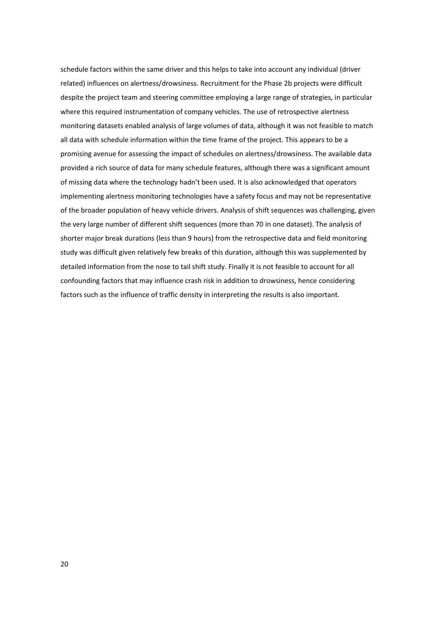schedule factors within the same driver and this helps to take into account any individual (driver related) influences on alertness/drowsiness. Recruitment for the Phase 2b projects were difficult despite the project team and steering committee employing a large range of strategies, in particular where this required instrumentation of company vehicles. The use of retrospective alertness monitoring datasets enabled analysis of large volumes of data, although it was not feasible to match all data with schedule information within the time frame of the project. This appears to be a promising avenue for assessing the impact of schedules on alertness/drowsiness. The available data provided a rich source of data for many schedule features, although there was a significant amount of missing data where the technology hadn't been used. It is also acknowledged that operators implementing alertness monitoring technologies have a safety focus and may not be representative of the broader population of heavy vehicle drivers. Analysis of shift sequences was challenging, given the very large number of different shift sequences (more than 70 in one dataset). The analysis of shorter major break durations (less than 9 hours) from the retrospective data and field monitoring study was difficult given relatively few breaks of this duration, although this was supplemented by detailed information from the nose to tail shift study. Finally it is not feasible to account for all confounding factors that may influence crash risk in addition to drowsiness, hence considering factors such as the influence of traffic density in interpreting the results is also important.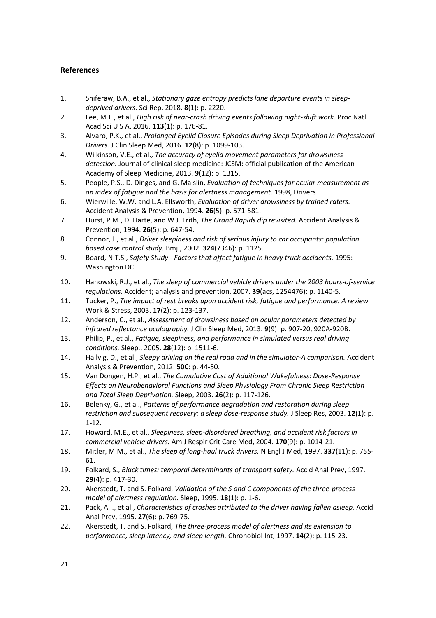# **References**

- 1. Shiferaw, B.A., et al., *Stationary gaze entropy predicts lane departure events in sleepdeprived drivers.* Sci Rep, 2018. **8**(1): p. 2220.
- 2. Lee, M.L., et al., *High risk of near-crash driving events following night-shift work.* Proc Natl Acad Sci U S A, 2016. **113**(1): p. 176-81.
- 3. Alvaro, P.K., et al., *Prolonged Eyelid Closure Episodes during Sleep Deprivation in Professional Drivers.* J Clin Sleep Med, 2016. **12**(8): p. 1099-103.
- 4. Wilkinson, V.E., et al., *The accuracy of eyelid movement parameters for drowsiness detection.* Journal of clinical sleep medicine: JCSM: official publication of the American Academy of Sleep Medicine, 2013. **9**(12): p. 1315.
- 5. PeopIe, P.S., D. Dinges, and G. Maislin, *Evaluation of techniques for ocular measurement as an index of fatigue and the basis for alertness management*. 1998, Drivers.
- 6. Wierwille, W.W. and L.A. Ellsworth, *Evaluation of driver drowsiness by trained raters.* Accident Analysis & Prevention, 1994. **26**(5): p. 571-581.
- 7. Hurst, P.M., D. Harte, and W.J. Frith, *The Grand Rapids dip revisited.* Accident Analysis & Prevention, 1994. **26**(5): p. 647-54.
- 8. Connor, J., et al., *Driver sleepiness and risk of serious injury to car occupants: population based case control study.* Bmj., 2002. **324**(7346): p. 1125.
- 9. Board, N.T.S., *Safety Study Factors that affect fatigue in heavy truck accidents.* 1995: Washington DC.
- 10. Hanowski, R.J., et al., *The sleep of commercial vehicle drivers under the 2003 hours-of-service regulations.* Accident; analysis and prevention, 2007. **39**(acs, 1254476): p. 1140-5.
- 11. Tucker, P., *The impact of rest breaks upon accident risk, fatigue and performance: A review.* Work & Stress, 2003. **17**(2): p. 123-137.
- 12. Anderson, C., et al., *Assessment of drowsiness based on ocular parameters detected by infrared reflectance oculography.* J Clin Sleep Med, 2013. **9**(9): p. 907-20, 920A-920B.
- 13. Philip, P., et al., *Fatigue, sleepiness, and performance in simulated versus real driving conditions.* Sleep., 2005. **28**(12): p. 1511-6.
- 14. Hallvig, D., et al., *Sleepy driving on the real road and in the simulator-A comparison.* Accident Analysis & Prevention, 2012. **50C**: p. 44-50.
- 15. Van Dongen, H.P., et al., *The Cumulative Cost of Additional Wakefulness: Dose-Response Effects on Neurobehavioral Functions and Sleep Physiology From Chronic Sleep Restriction and Total Sleep Deprivation.* Sleep, 2003. **26**(2): p. 117-126.
- 16. Belenky, G., et al., *Patterns of performance degradation and restoration during sleep restriction and subsequent recovery: a sleep dose-response study.* J Sleep Res, 2003. **12**(1): p. 1-12.
- 17. Howard, M.E., et al., *Sleepiness, sleep-disordered breathing, and accident risk factors in commercial vehicle drivers.* Am J Respir Crit Care Med, 2004. **170**(9): p. 1014-21.
- 18. Mitler, M.M., et al., *The sleep of long-haul truck drivers.* N Engl J Med, 1997. **337**(11): p. 755- 61.
- 19. Folkard, S., *Black times: temporal determinants of transport safety.* Accid Anal Prev, 1997. **29**(4): p. 417-30.
- 20. Akerstedt, T. and S. Folkard, *Validation of the S and C components of the three-process model of alertness regulation.* Sleep, 1995. **18**(1): p. 1-6.
- 21. Pack, A.I., et al., *Characteristics of crashes attributed to the driver having fallen asleep.* Accid Anal Prev, 1995. **27**(6): p. 769-75.
- 22. Akerstedt, T. and S. Folkard, *The three-process model of alertness and its extension to performance, sleep latency, and sleep length.* Chronobiol Int, 1997. **14**(2): p. 115-23.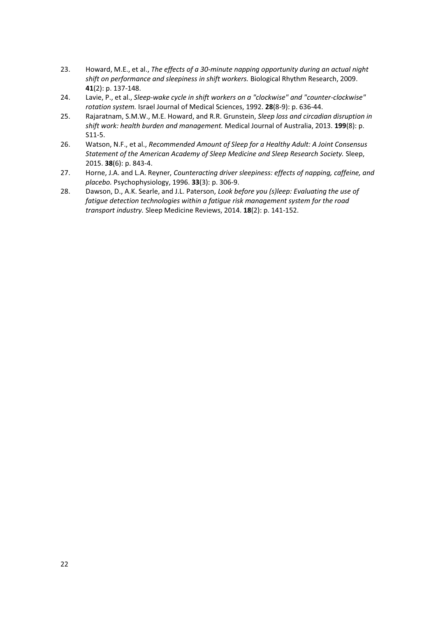- 23. Howard, M.E., et al., *The effects of a 30-minute napping opportunity during an actual night shift on performance and sleepiness in shift workers.* Biological Rhythm Research, 2009. **41**(2): p. 137-148.
- 24. Lavie, P., et al., *Sleep-wake cycle in shift workers on a "clockwise" and "counter-clockwise" rotation system.* Israel Journal of Medical Sciences, 1992. **28**(8-9): p. 636-44.
- 25. Rajaratnam, S.M.W., M.E. Howard, and R.R. Grunstein, *Sleep loss and circadian disruption in shift work: health burden and management.* Medical Journal of Australia, 2013. **199**(8): p. S11-5.
- 26. Watson, N.F., et al., *Recommended Amount of Sleep for a Healthy Adult: A Joint Consensus Statement of the American Academy of Sleep Medicine and Sleep Research Society.* Sleep, 2015. **38**(6): p. 843-4.
- 27. Horne, J.A. and L.A. Reyner, *Counteracting driver sleepiness: effects of napping, caffeine, and placebo.* Psychophysiology, 1996. **33**(3): p. 306-9.
- 28. Dawson, D., A.K. Searle, and J.L. Paterson, *Look before you (s)leep: Evaluating the use of fatigue detection technologies within a fatigue risk management system for the road transport industry.* Sleep Medicine Reviews, 2014. **18**(2): p. 141-152.